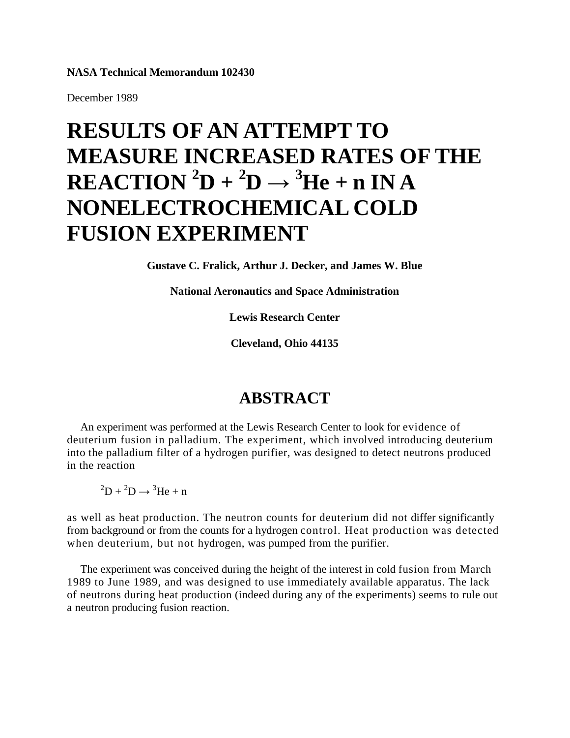#### **NASA Technical Memorandum 102430**

December 1989

# **RESULTS OF AN ATTEMPT TO MEASURE INCREASED RATES OF THE**  $\mathbf{REACTION} \,^2\mathbf{D} + ^2\mathbf{D} \rightarrow {}^3\mathbf{He} + \mathbf{n} \, \mathbf{INA}$ **NONELECTROCHEMICAL COLD FUSION EXPERIMENT**

**Gustave C. Fralick, Arthur J. Decker, and James W. Blue**

**National Aeronautics and Space Administration**

**Lewis Research Center**

**Cleveland, Ohio 44135**

#### **ABSTRACT**

An experiment was performed at the Lewis Research Center to look for evidence of deuterium fusion in palladium. The experiment, which involved introducing deuterium into the palladium filter of a hydrogen purifier, was designed to detect neutrons produced in the reaction

 ${}^{2}D + {}^{2}D \rightarrow {}^{3}He + n$ 

as well as heat production. The neutron counts for deuterium did not differ significantly from background or from the counts for a hydrogen control. Heat production was detected when deuterium, but not hydrogen, was pumped from the purifier.

The experiment was conceived during the height of the interest in cold fusion from March 1989 to June 1989, and was designed to use immediately available apparatus. The lack of neutrons during heat production (indeed during any of the experiments) seems to rule out a neutron producing fusion reaction.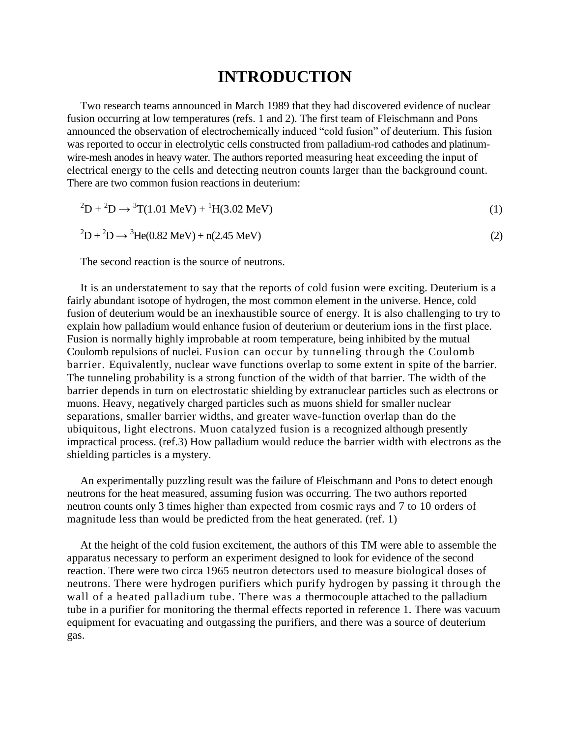#### **INTRODUCTION**

Two research teams announced in March 1989 that they had discovered evidence of nuclear fusion occurring at low temperatures (refs. 1 and 2). The first team of Fleischmann and Pons announced the observation of electrochemically induced "cold fusion" of deuterium. This fusion was reported to occur in electrolytic cells constructed from palladium-rod cathodes and platinumwire-mesh anodes in heavy water. The authors reported measuring heat exceeding the input of electrical energy to the cells and detecting neutron counts larger than the background count. There are two common fusion reactions in deuterium:

$$
{}^{2}D + {}^{2}D \rightarrow {}^{3}T(1.01 \text{ MeV}) + {}^{1}H(3.02 \text{ MeV})
$$
\n(1)

$$
{}^{2}D + {}^{2}D \rightarrow {}^{3}He(0.82 \text{ MeV}) + n(2.45 \text{ MeV})
$$
 (2)

The second reaction is the source of neutrons.

It is an understatement to say that the reports of cold fusion were exciting. Deuterium is a fairly abundant isotope of hydrogen, the most common element in the universe. Hence, cold fusion of deuterium would be an inexhaustible source of energy. It is also challenging to try to explain how palladium would enhance fusion of deuterium or deuterium ions in the first place. Fusion is normally highly improbable at room temperature, being inhibited by the mutual Coulomb repulsions of nuclei. Fusion can occur by tunneling through the Coulomb barrier. Equivalently, nuclear wave functions overlap to some extent in spite of the barrier. The tunneling probability is a strong function of the width of that barrier. The width of the barrier depends in turn on electrostatic shielding by extranuclear particles such as electrons or muons. Heavy, negatively charged particles such as muons shield for smaller nuclear separations, smaller barrier widths, and greater wave-function overlap than do the ubiquitous, light electrons. Muon catalyzed fusion is a recognized although presently impractical process. (ref.3) How palladium would reduce the barrier width with electrons as the shielding particles is a mystery.

An experimentally puzzling result was the failure of Fleischmann and Pons to detect enough neutrons for the heat measured, assuming fusion was occurring. The two authors reported neutron counts only 3 times higher than expected from cosmic rays and 7 to 10 orders of magnitude less than would be predicted from the heat generated. (ref. 1)

At the height of the cold fusion excitement, the authors of this TM were able to assemble the apparatus necessary to perform an experiment designed to look for evidence of the second reaction. There were two circa 1965 neutron detectors used to measure biological doses of neutrons. There were hydrogen purifiers which purify hydrogen by passing it through the wall of a heated palladium tube. There was a thermocouple attached to the palladium tube in a purifier for monitoring the thermal effects reported in reference 1. There was vacuum equipment for evacuating and outgassing the purifiers, and there was a source of deuterium gas.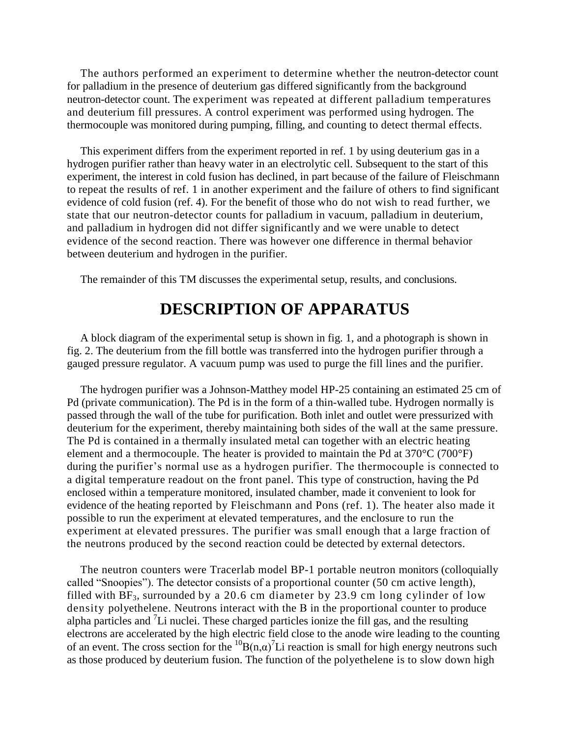The authors performed an experiment to determine whether the neutron-detector count for palladium in the presence of deuterium gas differed significantly from the background neutron-detector count. The experiment was repeated at different palladium temperatures and deuterium fill pressures. A control experiment was performed using hydrogen. The thermocouple was monitored during pumping, filling, and counting to detect thermal effects.

This experiment differs from the experiment reported in ref. 1 by using deuterium gas in a hydrogen purifier rather than heavy water in an electrolytic cell. Subsequent to the start of this experiment, the interest in cold fusion has declined, in part because of the failure of Fleischmann to repeat the results of ref. 1 in another experiment and the failure of others to find significant evidence of cold fusion (ref. 4). For the benefit of those who do not wish to read further, we state that our neutron-detector counts for palladium in vacuum, palladium in deuterium, and palladium in hydrogen did not differ significantly and we were unable to detect evidence of the second reaction. There was however one difference in thermal behavior between deuterium and hydrogen in the purifier.

The remainder of this TM discusses the experimental setup, results, and conclusions.

#### **DESCRIPTION OF APPARATUS**

A block diagram of the experimental setup is shown in fig. 1, and a photograph is shown in fig. 2. The deuterium from the fill bottle was transferred into the hydrogen purifier through a gauged pressure regulator. A vacuum pump was used to purge the fill lines and the purifier.

The hydrogen purifier was a Johnson-Matthey model HP-25 containing an estimated 25 cm of Pd (private communication). The Pd is in the form of a thin-walled tube. Hydrogen normally is passed through the wall of the tube for purification. Both inlet and outlet were pressurized with deuterium for the experiment, thereby maintaining both sides of the wall at the same pressure. The Pd is contained in a thermally insulated metal can together with an electric heating element and a thermocouple. The heater is provided to maintain the Pd at 370°C (700°F) during the purifier's normal use as a hydrogen purifier. The thermocouple is connected to a digital temperature readout on the front panel. This type of construction, having the Pd enclosed within a temperature monitored, insulated chamber, made it convenient to look for evidence of the heating reported by Fleischmann and Pons (ref. 1). The heater also made it possible to run the experiment at elevated temperatures, and the enclosure to run the experiment at elevated pressures. The purifier was small enough that a large fraction of the neutrons produced by the second reaction could be detected by external detectors.

The neutron counters were Tracerlab model BP-1 portable neutron monitors (colloquially called "Snoopies"). The detector consists of a proportional counter (50 cm active length), filled with  $BF_3$ , surrounded by a 20.6 cm diameter by 23.9 cm long cylinder of low density polyethelene. Neutrons interact with the Βin the proportional counter to produce alpha particles and <sup>7</sup>Li nuclei. These charged particles ionize the fill gas, and the resulting electrons are accelerated by the high electric field close to the anode wire leading to the counting of an event. The cross section for the  ${}^{10}B(n,\alpha)^7Li$  reaction is small for high energy neutrons such as those produced by deuterium fusion. The function of the polyethelene is to slow down high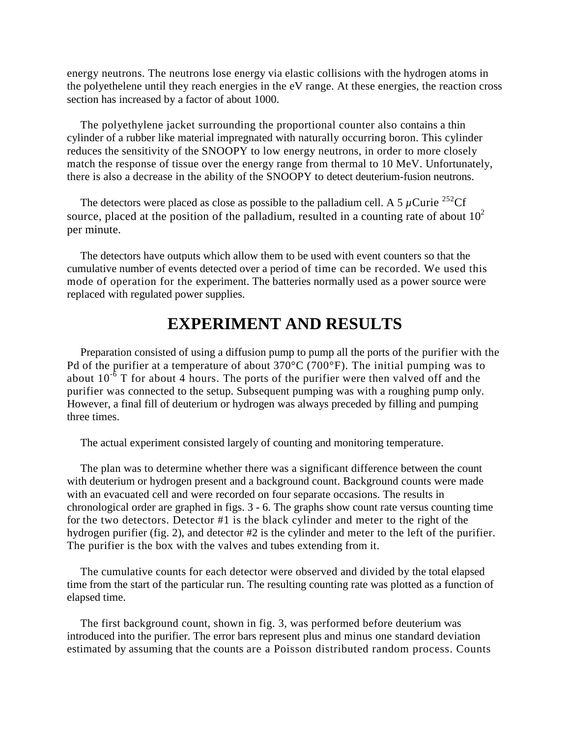energy neutrons. The neutrons lose energy via elastic collisions with the hydrogen atoms in the polyethelene until they reach energies in the eV range. At these energies, the reaction cross section has increased by a factor of about 1000.

The polyethylene jacket surrounding the proportional counter also contains a thin cylinder of a rubber like material impregnated with naturally occurring boron. This cylinder reduces the sensitivity of the SNOOPY to low energy neutrons, in order to more closely match the response of tissue over the energy range from thermal to 10 MeV. Unfortunately, there is also a decrease in the ability of the SNOOPY to detect deuterium-fusion neutrons.

The detectors were placed as close as possible to the palladium cell. A 5  $\mu$ Curie <sup>252</sup>Cf source, placed at the position of the palladium, resulted in a counting rate of about  $10<sup>2</sup>$ per minute.

The detectors have outputs which allow them to be used with event counters so that the cumulative number of events detected over a period of time can be recorded. We used this mode of operation for the experiment. The batteries normally used as a power source were replaced with regulated power supplies.

### **EXPERIMENT AND RESULTS**

Preparation consisted of using a diffusion pump to pump all the ports of the purifier with the Pd of the purifier at a temperature of about 370°C (700°F). The initial pumping was to about  $10^{-6}$  T for about 4 hours. The ports of the purifier were then valved off and the purifier was connected to the setup. Subsequent pumping was with a roughing pump only. However, a final fill of deuterium or hydrogen was always preceded by filling and pumping three times.

The actual experiment consisted largely of counting and monitoring temperature.

The plan was to determine whether there was a significant difference between the count with deuterium or hydrogen present and a background count. Background counts were made with an evacuated cell and were recorded on four separate occasions. The results in chronological order are graphed in figs. 3 - 6. The graphs show count rate versus counting time for the two detectors. Detector #1 is the black cylinder and meter to the right of the hydrogen purifier (fig. 2), and detector #2 is the cylinder and meter to the left of the purifier. The purifier is the box with the valves and tubes extending from it.

The cumulative counts for each detector were observed and divided by the total elapsed time from the start of the particular run. The resulting counting rate was plotted as a function of elapsed time.

The first background count, shown in fig. 3, was performed before deuterium was introduced into the purifier. The error bars represent plus and minus one standard deviation estimated by assuming that the counts are a Poisson distributed random process. Counts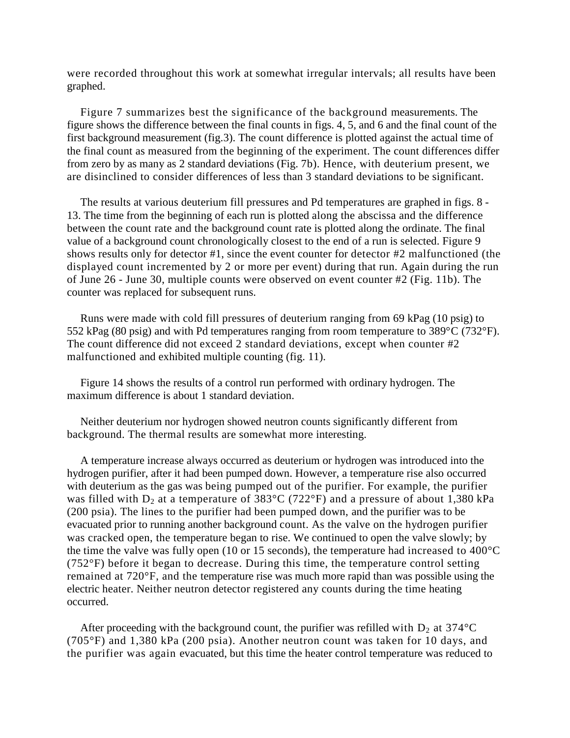were recorded throughout this work at somewhat irregular intervals; all results have been graphed.

Figure 7 summarizes best the significance of the background measurements. The figure shows the difference between the final counts in figs. 4, 5, and 6 and the final count of the first background measurement (fig.3). The count difference is plotted against the actual time of the final count as measured from the beginning of the experiment. The count differences differ from zero by as many as 2 standard deviations (Fig. 7b). Hence, with deuterium present, we are disinclined to consider differences of less than 3 standard deviations to be significant.

The results at various deuterium fill pressures and Pd temperatures are graphed in figs. 8 - 13. The time from the beginning of each run is plotted along the abscissa and the difference between the count rate and the background count rate is plotted along the ordinate. The final value of a background count chronologically closest to the end of a run is selected. Figure 9 shows results only for detector #1, since the event counter for detector #2 malfunctioned (the displayed count incremented by 2 or more per event) during that run. Again during the run of June 26 - June 30, multiple counts were observed on event counter #2 (Fig. 11b). The counter was replaced for subsequent runs.

Runs were made with cold fill pressures of deuterium ranging from 69 kPag (10 psig) to 552 kPag (80 psig) and with Pd temperatures ranging from room temperature to 389°C (732°F). The count difference did not exceed 2 standard deviations, except when counter #2 malfunctioned and exhibited multiple counting (fig. 11).

Figure 14 shows the results of a control run performed with ordinary hydrogen. The maximum difference is about 1 standard deviation.

Neither deuterium nor hydrogen showed neutron counts significantly different from background. The thermal results are somewhat more interesting.

A temperature increase always occurred as deuterium or hydrogen was introduced into the hydrogen purifier, after it had been pumped down. However, a temperature rise also occurred with deuterium as the gas was being pumped out of the purifier. For example, the purifier was filled with  $D_2$  at a temperature of 383°C (722°F) and a pressure of about 1,380 kPa (200 psia). The lines to the purifier had been pumped down, and the purifier was to be evacuated prior to running another background count. As the valve on the hydrogen purifier was cracked open, the temperature began to rise. We continued to open the valve slowly; by the time the valve was fully open (10 or 15 seconds), the temperature had increased to 400°C (752°F) before it began to decrease. During this time, the temperature control setting remained at 720°F, and the temperature rise was much more rapid than was possible using the electric heater. Neither neutron detector registered any counts during the time heating occurred.

After proceeding with the background count, the purifier was refilled with  $D_2$  at 374°C (705°F) and 1,380 kPa (200 psia). Another neutron count was taken for 10 days, and the purifier was again evacuated, but this time the heater control temperature was reduced to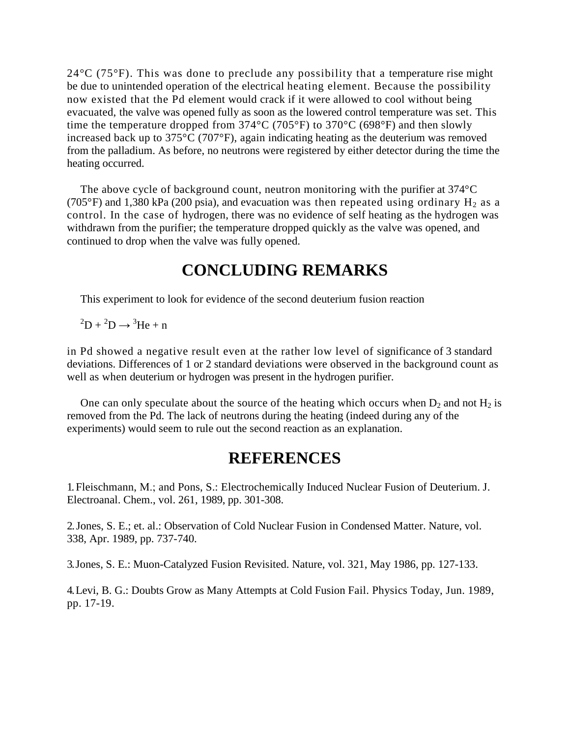$24^{\circ}$ C (75 $^{\circ}$ F). This was done to preclude any possibility that a temperature rise might be due to unintended operation of the electrical heating element. Because the possibility now existed that the Pd element would crack if it were allowed to cool without being evacuated, the valve was opened fully as soon as the lowered control temperature was set. This time the temperature dropped from  $374^{\circ}$ C ( $705^{\circ}$ F) to  $370^{\circ}$ C ( $698^{\circ}$ F) and then slowly increased back up to 375°C (707°F), again indicating heating as the deuterium was removed from the palladium. As before, no neutrons were registered by either detector during the time the heating occurred.

The above cycle of background count, neutron monitoring with the purifier at 374°C (705°F) and 1,380 kPa (200 psia), and evacuation was then repeated using ordinary  $H_2$  as a control. In the case of hydrogen, there was no evidence of self heating as the hydrogen was withdrawn from the purifier; the temperature dropped quickly as the valve was opened, and continued to drop when the valve was fully opened.

#### **CONCLUDING REMARKS**

This experiment to look for evidence of the second deuterium fusion reaction

 ${}^{2}D + {}^{2}D \rightarrow {}^{3}He + n$ 

in Pd showed a negative result even at the rather low level of significance of 3 standard deviations. Differences of 1 or 2 standard deviations were observed in the background count as well as when deuterium or hydrogen was present in the hydrogen purifier.

One can only speculate about the source of the heating which occurs when  $D_2$  and not  $H_2$  is removed from the Pd. The lack of neutrons during the heating (indeed during any of the experiments) would seem to rule out the second reaction as an explanation.

#### **REFERENCES**

1. Fleischmann, M.; and Pons, S.: Electrochemically Induced Nuclear Fusion of Deuterium. J. Electroanal. Chem., vol. 261, 1989, pp. 301-308.

2.Jones, S. E.; et. al.: Observation of Cold Nuclear Fusion in Condensed Matter. Nature, vol. 338, Apr. 1989, pp. 737-740.

3.Jones, S. E.: Muon-Catalyzed Fusion Revisited. Nature, vol. 321, May 1986, pp. 127-133.

4.Levi, B. G.: Doubts Grow as Many Attempts at Cold Fusion Fail. Physics Today, Jun. 1989, pp. 17-19.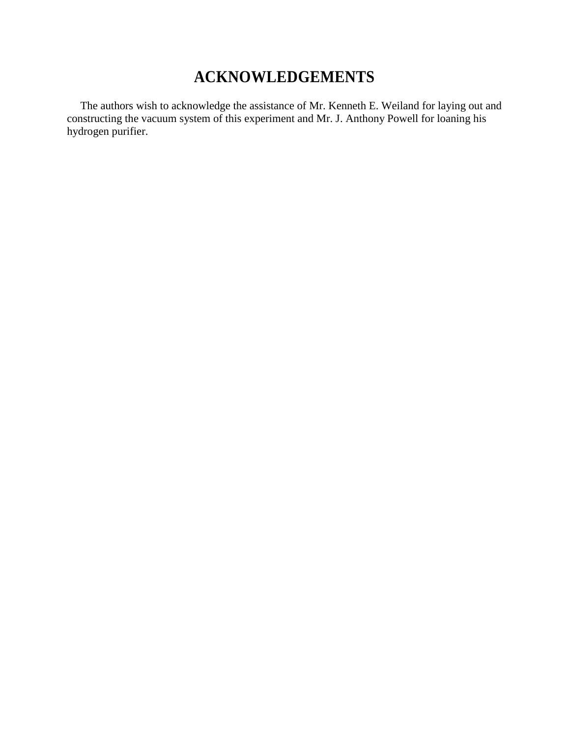## **ACKNOWLEDGEMENTS**

The authors wish to acknowledge the assistance of Mr. Kenneth E. Weiland for laying out and constructing the vacuum system of this experiment and Mr. J. Anthony Powell for loaning his hydrogen purifier.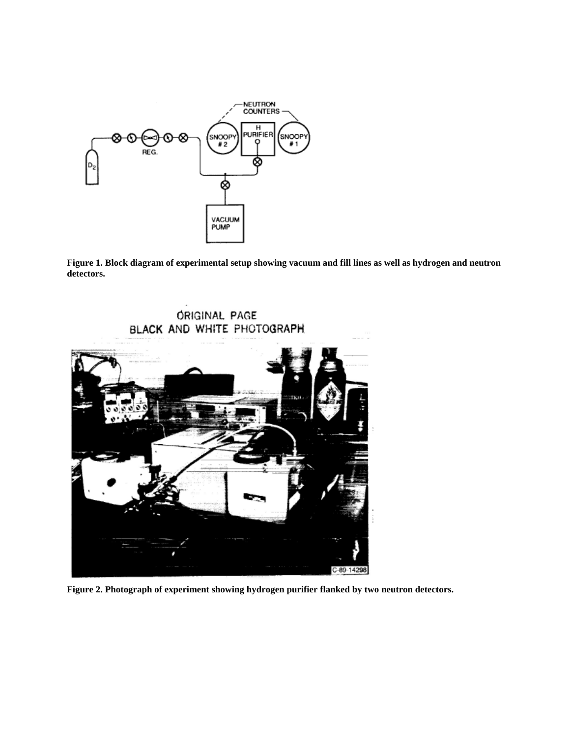

**Figure 1. Block diagram of experimental setup showing vacuum and fill lines as well as hydrogen and neutron detectors.**



**Figure 2. Photograph of experiment showing hydrogen purifier flanked by two neutron detectors.**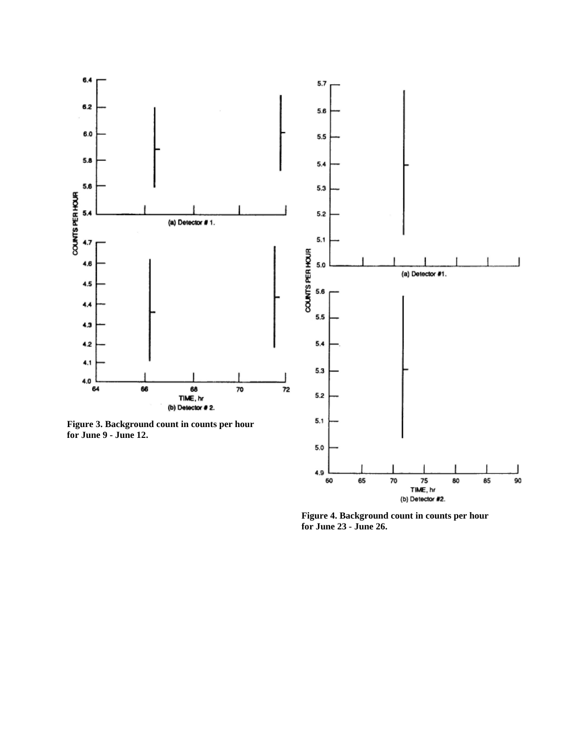

(b) Detector #2.

**Figure 4. Background count in counts per hour for June 23 - June 26.**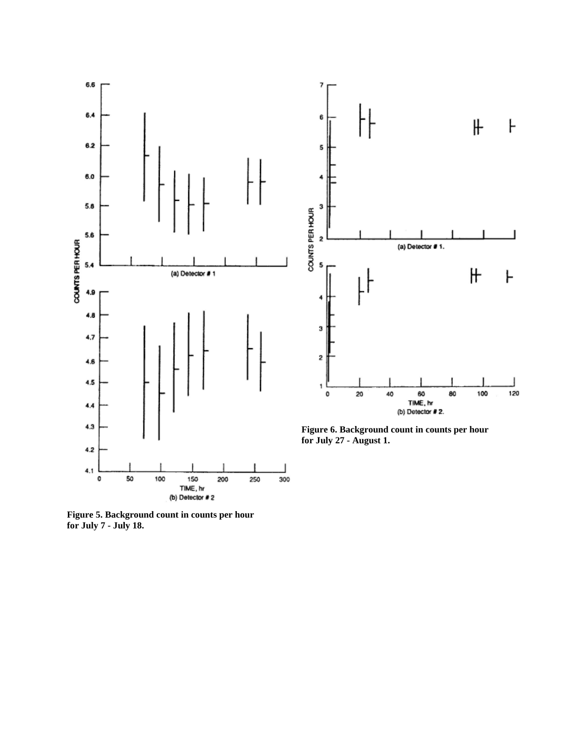



**Figure 6. Background count in counts per hour for July 27 - August 1.**

**Figure 5. Background count in counts per hour for July 7 - July 18.**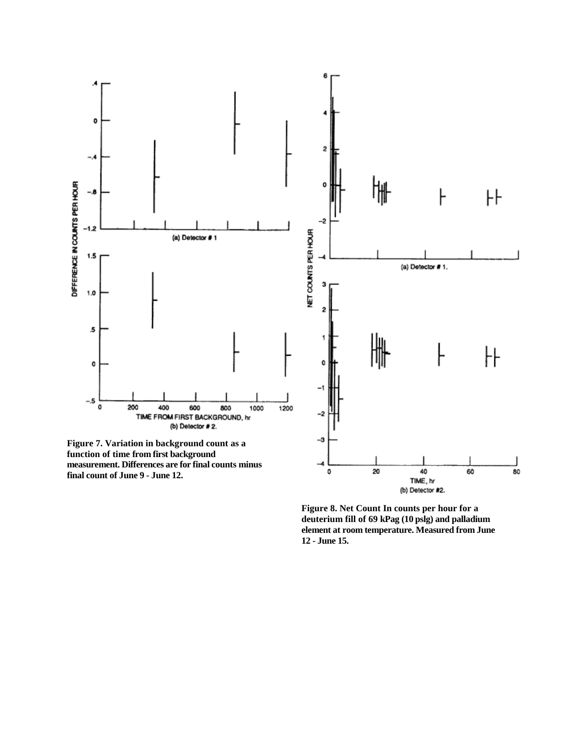

**Figure 8. Net Count In counts per hour for a deuterium fill of 69 kPag (10 pslg) and palladium element at room temperature. Measured from June 12 - June 15.**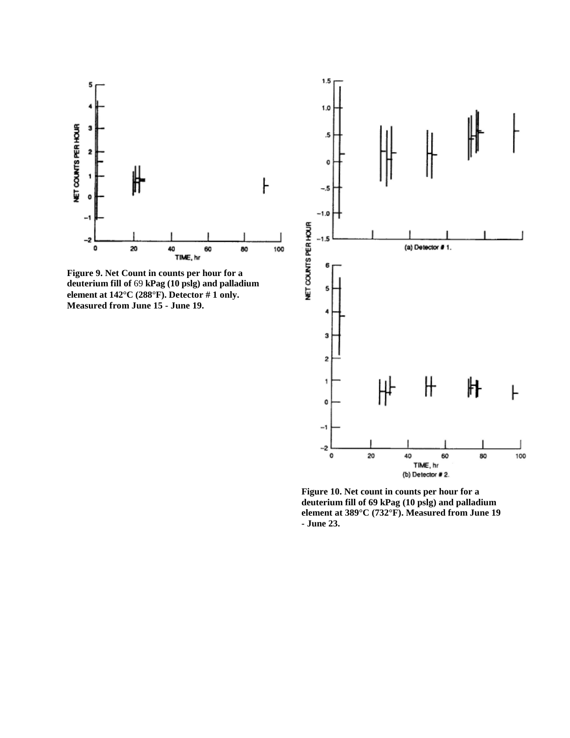

**deuterium fill of** 69 **kPag (10 pslg) and palladium element at 142°C (288°F). Detector # 1 only. Measured from June 15 - June 19.**



**Figure 10. Net count in counts per hour for a deuterium fill of 69 kPag (10 pslg) and palladium element at 389°C (732°F). Measured from June 19 - June 23.**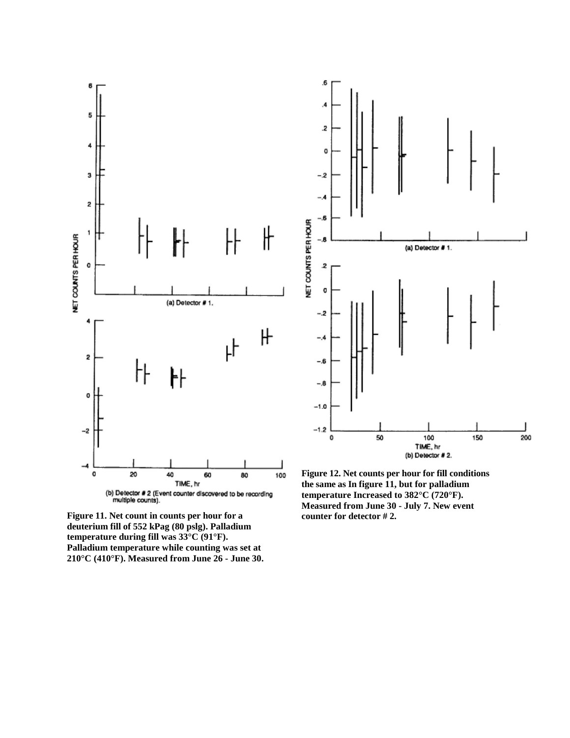

**Figure 11. Net count in counts per hour for a deuterium fill of 552 kPag (80 pslg). Palladium temperature during fill was 33°C (91°F). Palladium temperature while counting was set at 210°C (410°F). Measured from June 26 - June 30.**



**Figure 12. Net counts per hour for fill conditions the same as In figure 11, but for palladium temperature Increased to 382°C (720°F). Measured from June 30 - July 7. New event counter for detector # 2.**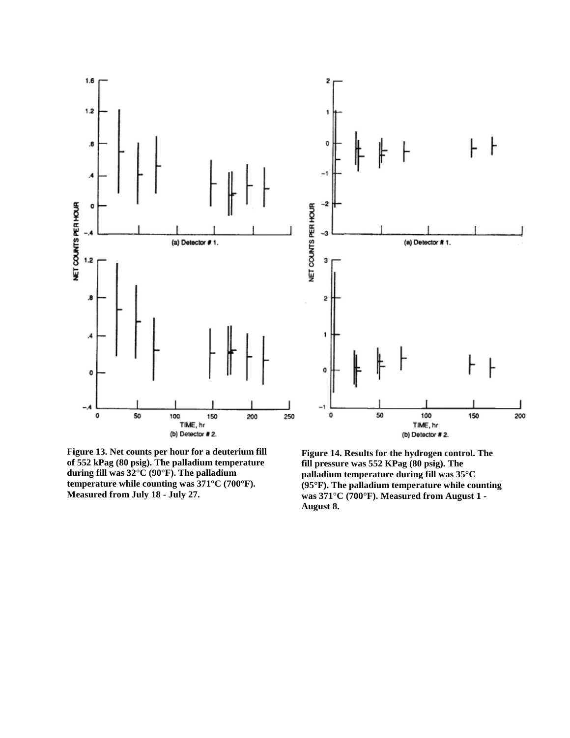

**Figure 13. Net counts per hour for a deuterium fill of 552 kPag (80 psig). The palladium temperature during fill was 32°C (90°F). The palladium temperature while counting was 371°C (700°F). Measured from July 18 - July 27.**

**Figure 14. Results for the hydrogen control. The fill pressure was 552 KPag (80 psig). The palladium temperature during fill was 35°C (95°F). The palladium temperature while counting was 371°C (700°F). Measured from August 1 - August 8.**